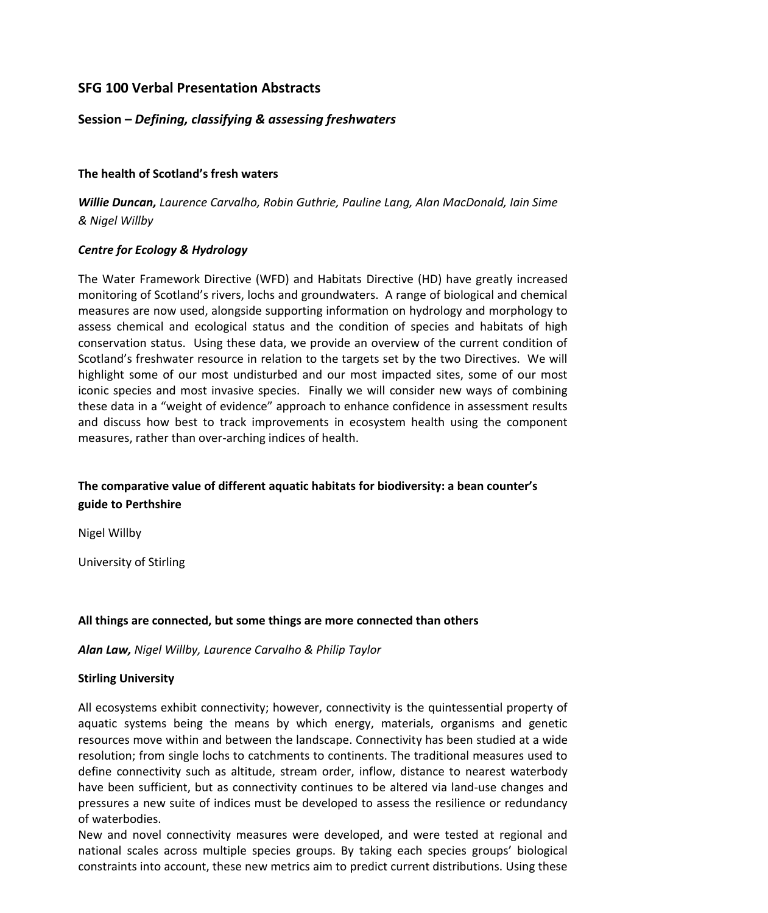## **SFG 100 Verbal Presentation Abstracts**

## **Session –** *Defining, classifying & assessing freshwaters*

### **The health of Scotland's fresh waters**

*Willie Duncan, Laurence Carvalho, Robin Guthrie, Pauline Lang, Alan MacDonald, Iain Sime & Nigel Willby*

## *Centre for Ecology & Hydrology*

The Water Framework Directive (WFD) and Habitats Directive (HD) have greatly increased monitoring of Scotland's rivers, lochs and groundwaters. A range of biological and chemical measures are now used, alongside supporting information on hydrology and morphology to assess chemical and ecological status and the condition of species and habitats of high conservation status. Using these data, we provide an overview of the current condition of Scotland's freshwater resource in relation to the targets set by the two Directives. We will highlight some of our most undisturbed and our most impacted sites, some of our most iconic species and most invasive species. Finally we will consider new ways of combining these data in a "weight of evidence" approach to enhance confidence in assessment results and discuss how best to track improvements in ecosystem health using the component measures, rather than over-arching indices of health.

# **The comparative value of different aquatic habitats for biodiversity: a bean counter's guide to Perthshire**

Nigel Willby

University of Stirling

#### **All things are connected, but some things are more connected than others**

*Alan Law, Nigel Willby, Laurence Carvalho & Philip Taylor*

## **Stirling University**

All ecosystems exhibit connectivity; however, connectivity is the quintessential property of aquatic systems being the means by which energy, materials, organisms and genetic resources move within and between the landscape. Connectivity has been studied at a wide resolution; from single lochs to catchments to continents. The traditional measures used to define connectivity such as altitude, stream order, inflow, distance to nearest waterbody have been sufficient, but as connectivity continues to be altered via land-use changes and pressures a new suite of indices must be developed to assess the resilience or redundancy of waterbodies.

New and novel connectivity measures were developed, and were tested at regional and national scales across multiple species groups. By taking each species groups' biological constraints into account, these new metrics aim to predict current distributions. Using these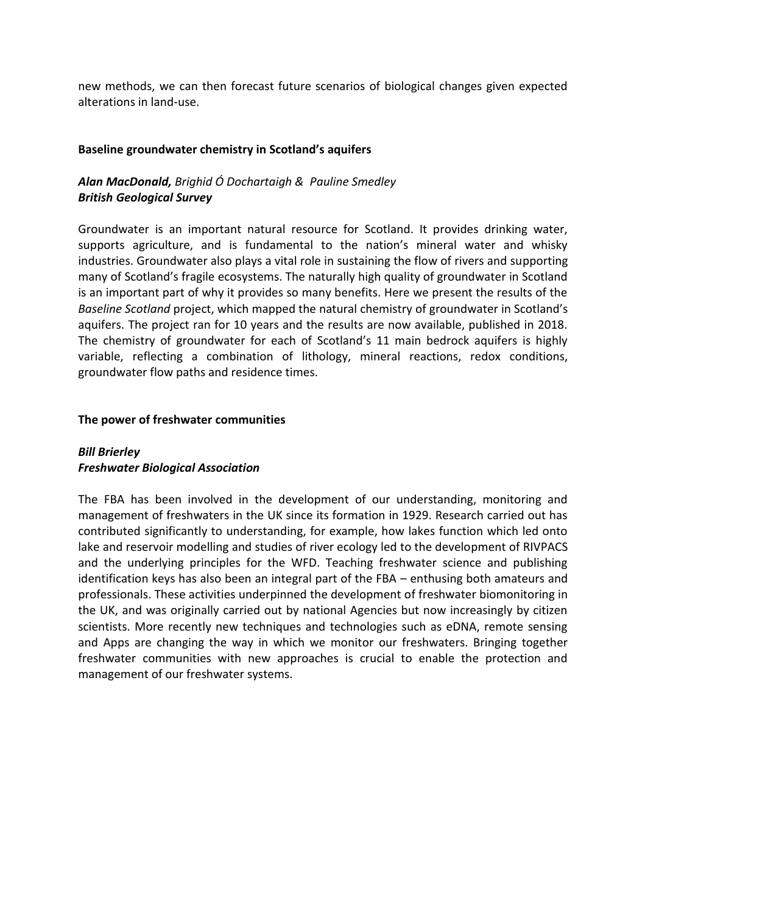new methods, we can then forecast future scenarios of biological changes given expected alterations in land-use.

#### **Baseline groundwater chemistry in Scotland's aquifers**

# *Alan MacDonald, Brighid Ó Dochartaigh & Pauline Smedley British Geological Survey*

Groundwater is an important natural resource for Scotland. It provides drinking water, supports agriculture, and is fundamental to the nation's mineral water and whisky industries. Groundwater also plays a vital role in sustaining the flow of rivers and supporting many of Scotland's fragile ecosystems. The naturally high quality of groundwater in Scotland is an important part of why it provides so many benefits. Here we present the results of the *Baseline Scotland* project, which mapped the natural chemistry of groundwater in Scotland's aquifers. The project ran for 10 years and the results are now available, published in 2018. The chemistry of groundwater for each of Scotland's 11 main bedrock aquifers is highly variable, reflecting a combination of lithology, mineral reactions, redox conditions, groundwater flow paths and residence times.

## **The power of freshwater communities**

## *Bill Brierley Freshwater Biological Association*

The FBA has been involved in the development of our understanding, monitoring and management of freshwaters in the UK since its formation in 1929. Research carried out has contributed significantly to understanding, for example, how lakes function which led onto lake and reservoir modelling and studies of river ecology led to the development of RIVPACS and the underlying principles for the WFD. Teaching freshwater science and publishing identification keys has also been an integral part of the FBA – enthusing both amateurs and professionals. These activities underpinned the development of freshwater biomonitoring in the UK, and was originally carried out by national Agencies but now increasingly by citizen scientists. More recently new techniques and technologies such as eDNA, remote sensing and Apps are changing the way in which we monitor our freshwaters. Bringing together freshwater communities with new approaches is crucial to enable the protection and management of our freshwater systems.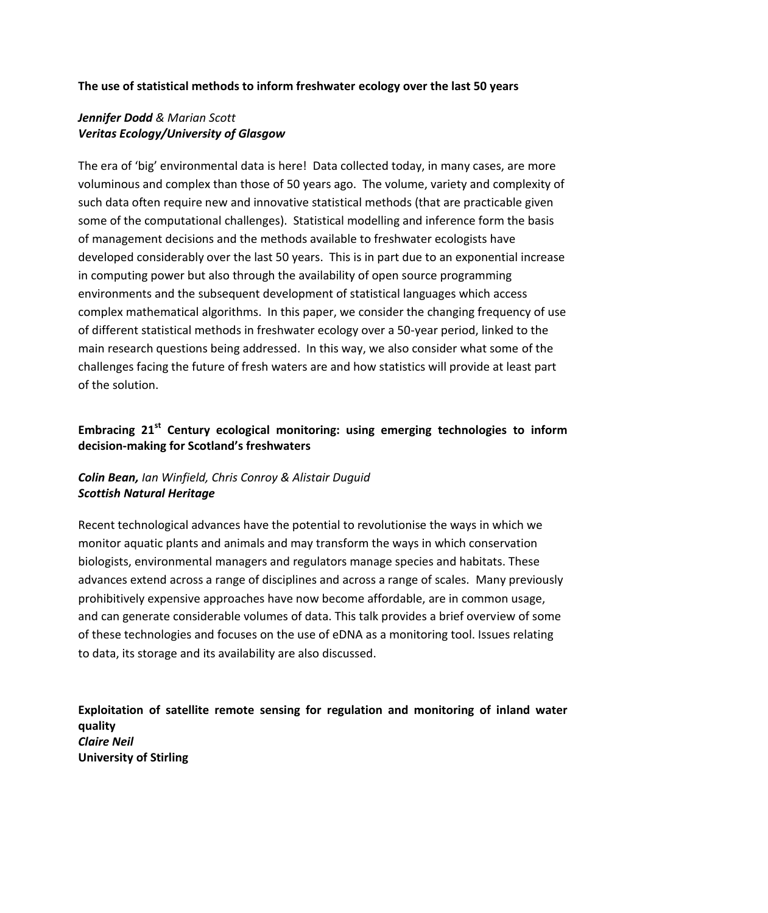### **The use of statistical methods to inform freshwater ecology over the last 50 years**

## *Jennifer Dodd & Marian Scott Veritas Ecology/University of Glasgow*

The era of 'big' environmental data is here! Data collected today, in many cases, are more voluminous and complex than those of 50 years ago. The volume, variety and complexity of such data often require new and innovative statistical methods (that are practicable given some of the computational challenges). Statistical modelling and inference form the basis of management decisions and the methods available to freshwater ecologists have developed considerably over the last 50 years. This is in part due to an exponential increase in computing power but also through the availability of open source programming environments and the subsequent development of statistical languages which access complex mathematical algorithms. In this paper, we consider the changing frequency of use of different statistical methods in freshwater ecology over a 50-year period, linked to the main research questions being addressed. In this way, we also consider what some of the challenges facing the future of fresh waters are and how statistics will provide at least part of the solution.

# **Embracing 21st Century ecological monitoring: using emerging technologies to inform decision-making for Scotland's freshwaters**

## *Colin Bean, Ian Winfield, Chris Conroy & Alistair Duguid Scottish Natural Heritage*

Recent technological advances have the potential to revolutionise the ways in which we monitor aquatic plants and animals and may transform the ways in which conservation biologists, environmental managers and regulators manage species and habitats. These advances extend across a range of disciplines and across a range of scales. Many previously prohibitively expensive approaches have now become affordable, are in common usage, and can generate considerable volumes of data. This talk provides a brief overview of some of these technologies and focuses on the use of eDNA as a monitoring tool. Issues relating to data, its storage and its availability are also discussed.

**Exploitation of satellite remote sensing for regulation and monitoring of inland water quality** *Claire Neil* **University of Stirling**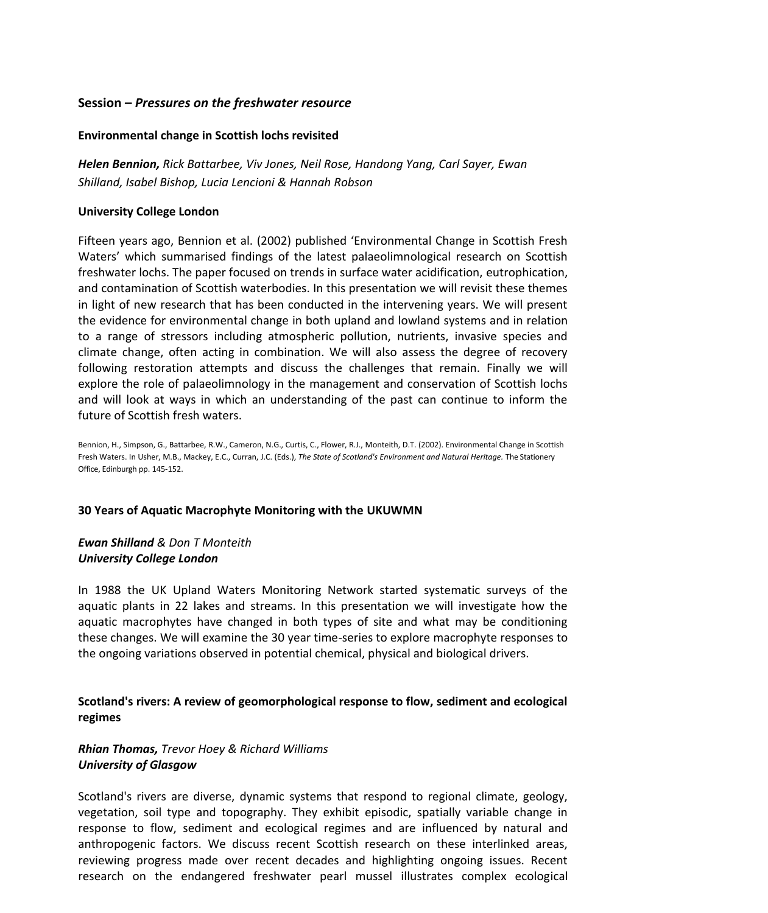### **Session –** *Pressures on the freshwater resource*

#### **Environmental change in Scottish lochs revisited**

*Helen Bennion, Rick Battarbee, Viv Jones, Neil Rose, Handong Yang, Carl Sayer, Ewan Shilland, Isabel Bishop, Lucia Lencioni & Hannah Robson*

#### **University College London**

Fifteen years ago, Bennion et al. (2002) published 'Environmental Change in Scottish Fresh Waters' which summarised findings of the latest palaeolimnological research on Scottish freshwater lochs. The paper focused on trends in surface water acidification, eutrophication, and contamination of Scottish waterbodies. In this presentation we will revisit these themes in light of new research that has been conducted in the intervening years. We will present the evidence for environmental change in both upland and lowland systems and in relation to a range of stressors including atmospheric pollution, nutrients, invasive species and climate change, often acting in combination. We will also assess the degree of recovery following restoration attempts and discuss the challenges that remain. Finally we will explore the role of palaeolimnology in the management and conservation of Scottish lochs and will look at ways in which an understanding of the past can continue to inform the future of Scottish fresh waters.

Bennion, H., Simpson, G., Battarbee, R.W., Cameron, N.G., Curtis, C., Flower, R.J., Monteith, D.T. (2002)[. Environmental Change in Scottish](https://iris.ucl.ac.uk/iris/publication/22577/1)  [Fresh Waters.](https://iris.ucl.ac.uk/iris/publication/22577/1) In Usher, M.B., Mackey, E.C., Curran, J.C. (Eds.), *The State of Scotland's Environment and Natural Heritage.* The Stationery Office, Edinburgh pp. 145-152.

#### **30 Years of Aquatic Macrophyte Monitoring with the UKUWMN**

## *Ewan Shilland & Don T Monteith University College London*

In 1988 the UK Upland Waters Monitoring Network started systematic surveys of the aquatic plants in 22 lakes and streams. In this presentation we will investigate how the aquatic macrophytes have changed in both types of site and what may be conditioning these changes. We will examine the 30 year time-series to explore macrophyte responses to the ongoing variations observed in potential chemical, physical and biological drivers.

## **Scotland's rivers: A review of geomorphological response to flow, sediment and ecological regimes**

# *Rhian Thomas, Trevor Hoey & Richard Williams University of Glasgow*

Scotland's rivers are diverse, dynamic systems that respond to regional climate, geology, vegetation, soil type and topography. They exhibit episodic, spatially variable change in response to flow, sediment and ecological regimes and are influenced by natural and anthropogenic factors. We discuss recent Scottish research on these interlinked areas, reviewing progress made over recent decades and highlighting ongoing issues. Recent research on the endangered freshwater pearl mussel illustrates complex ecological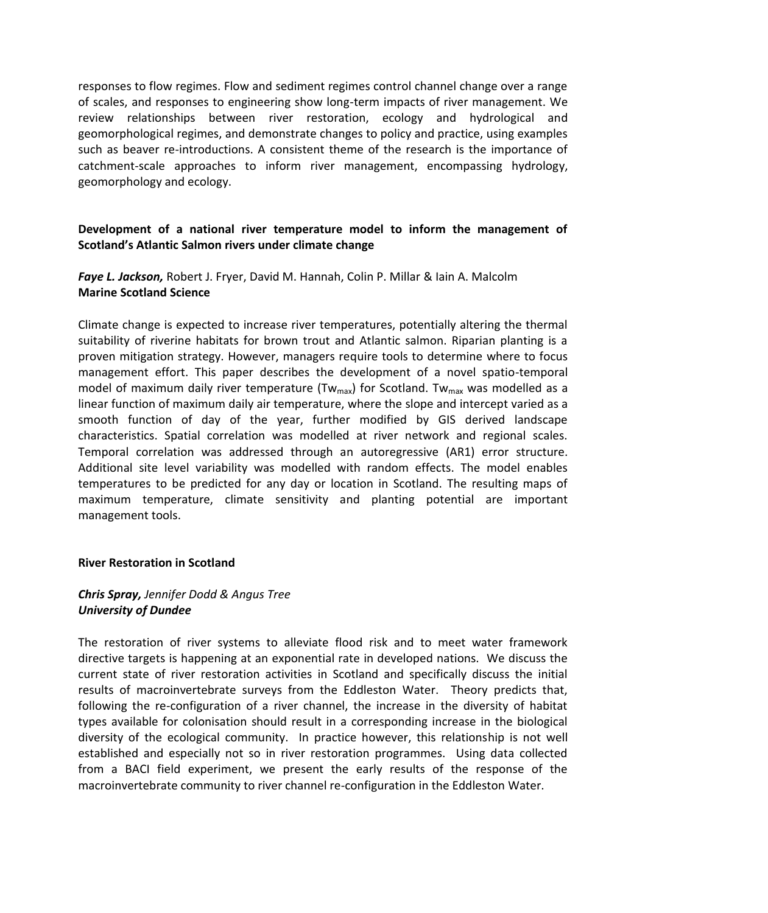responses to flow regimes. Flow and sediment regimes control channel change over a range of scales, and responses to engineering show long-term impacts of river management. We review relationships between river restoration, ecology and hydrological and geomorphological regimes, and demonstrate changes to policy and practice, using examples such as beaver re-introductions. A consistent theme of the research is the importance of catchment-scale approaches to inform river management, encompassing hydrology, geomorphology and ecology.

## **Development of a national river temperature model to inform the management of Scotland's Atlantic Salmon rivers under climate change**

*Faye L. Jackson,* Robert J. Fryer, David M. Hannah, Colin P. Millar & Iain A. Malcolm **Marine Scotland Science** 

Climate change is expected to increase river temperatures, potentially altering the thermal suitability of riverine habitats for brown trout and Atlantic salmon. Riparian planting is a proven mitigation strategy. However, managers require tools to determine where to focus management effort. This paper describes the development of a novel spatio-temporal model of maximum daily river temperature (Tw<sub>max</sub>) for Scotland. Tw<sub>max</sub> was modelled as a linear function of maximum daily air temperature, where the slope and intercept varied as a smooth function of day of the year, further modified by GIS derived landscape characteristics. Spatial correlation was modelled at river network and regional scales. Temporal correlation was addressed through an autoregressive (AR1) error structure. Additional site level variability was modelled with random effects. The model enables temperatures to be predicted for any day or location in Scotland. The resulting maps of maximum temperature, climate sensitivity and planting potential are important management tools.

#### **River Restoration in Scotland**

## *Chris Spray, Jennifer Dodd & Angus Tree University of Dundee*

The restoration of river systems to alleviate flood risk and to meet water framework directive targets is happening at an exponential rate in developed nations. We discuss the current state of river restoration activities in Scotland and specifically discuss the initial results of macroinvertebrate surveys from the Eddleston Water. Theory predicts that, following the re-configuration of a river channel, the increase in the diversity of habitat types available for colonisation should result in a corresponding increase in the biological diversity of the ecological community. In practice however, this relationship is not well established and especially not so in river restoration programmes. Using data collected from a BACI field experiment, we present the early results of the response of the macroinvertebrate community to river channel re-configuration in the Eddleston Water.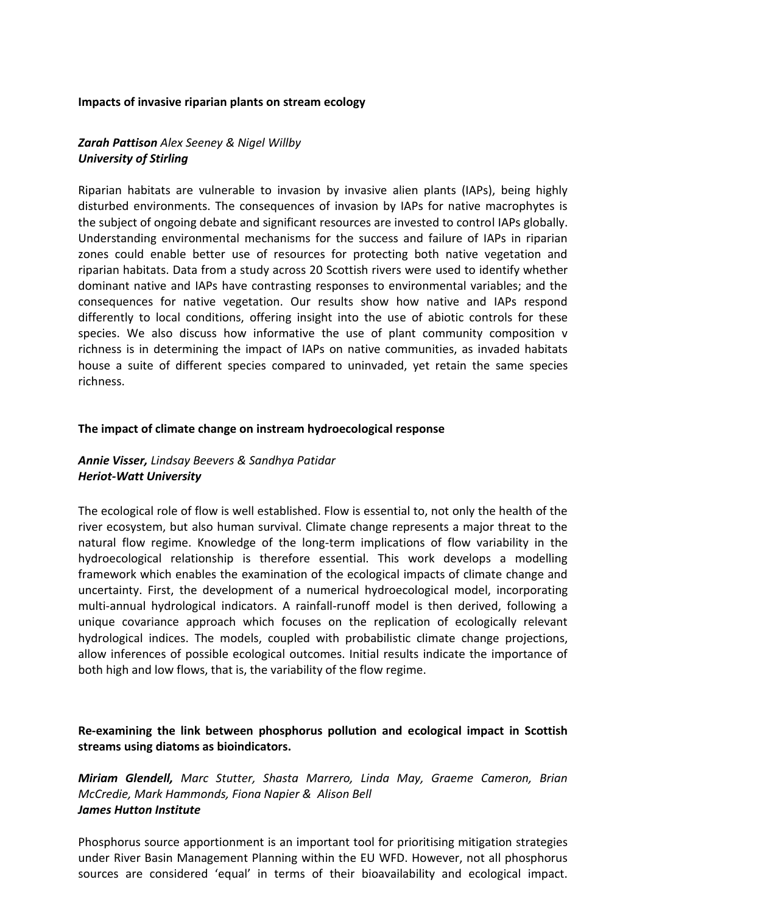#### **Impacts of invasive riparian plants on stream ecology**

## *Zarah Pattison Alex Seeney & Nigel Willby University of Stirling*

Riparian habitats are vulnerable to invasion by invasive alien plants (IAPs), being highly disturbed environments. The consequences of invasion by IAPs for native macrophytes is the subject of ongoing debate and significant resources are invested to control IAPs globally. Understanding environmental mechanisms for the success and failure of IAPs in riparian zones could enable better use of resources for protecting both native vegetation and riparian habitats. Data from a study across 20 Scottish rivers were used to identify whether dominant native and IAPs have contrasting responses to environmental variables; and the consequences for native vegetation. Our results show how native and IAPs respond differently to local conditions, offering insight into the use of abiotic controls for these species. We also discuss how informative the use of plant community composition v richness is in determining the impact of IAPs on native communities, as invaded habitats house a suite of different species compared to uninvaded, yet retain the same species richness.

#### **The impact of climate change on instream hydroecological response**

### *Annie Visser, Lindsay Beevers & Sandhya Patidar Heriot-Watt University*

The ecological role of flow is well established. Flow is essential to, not only the health of the river ecosystem, but also human survival. Climate change represents a major threat to the natural flow regime. Knowledge of the long-term implications of flow variability in the hydroecological relationship is therefore essential. This work develops a modelling framework which enables the examination of the ecological impacts of climate change and uncertainty. First, the development of a numerical hydroecological model, incorporating multi-annual hydrological indicators. A rainfall-runoff model is then derived, following a unique covariance approach which focuses on the replication of ecologically relevant hydrological indices. The models, coupled with probabilistic climate change projections, allow inferences of possible ecological outcomes. Initial results indicate the importance of both high and low flows, that is, the variability of the flow regime.

**Re-examining the link between phosphorus pollution and ecological impact in Scottish streams using diatoms as bioindicators.**

*Miriam Glendell, Marc Stutter, Shasta Marrero, Linda May, Graeme Cameron, Brian McCredie, Mark Hammonds, Fiona Napier & Alison Bell James Hutton Institute*

Phosphorus source apportionment is an important tool for prioritising mitigation strategies under River Basin Management Planning within the EU WFD. However, not all phosphorus sources are considered 'equal' in terms of their bioavailability and ecological impact.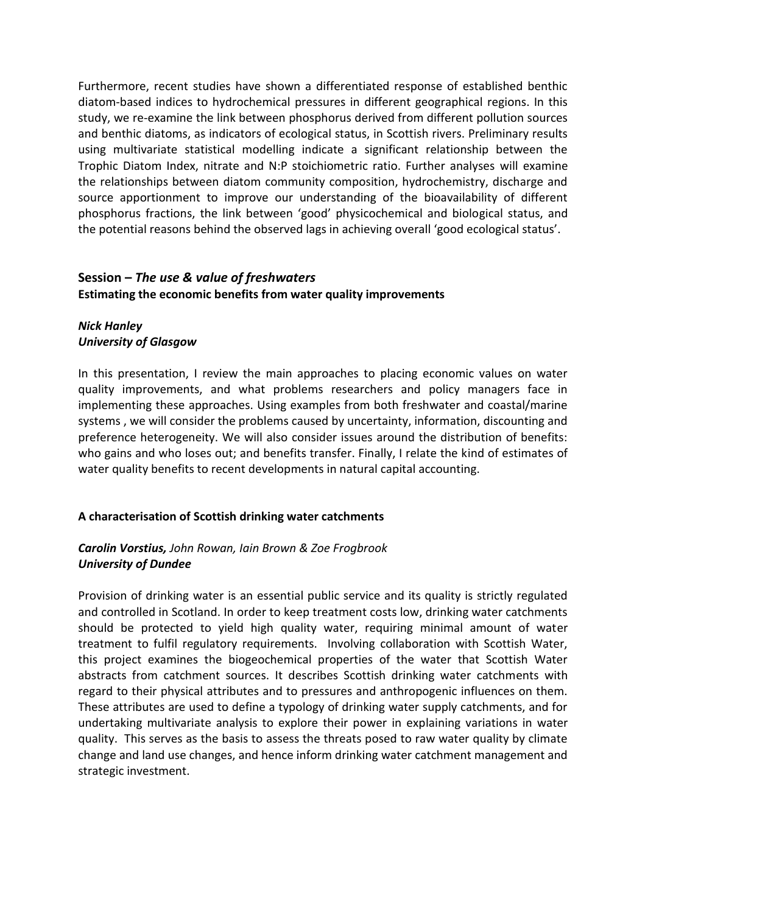Furthermore, recent studies have shown a differentiated response of established benthic diatom-based indices to hydrochemical pressures in different geographical regions. In this study, we re-examine the link between phosphorus derived from different pollution sources and benthic diatoms, as indicators of ecological status, in Scottish rivers. Preliminary results using multivariate statistical modelling indicate a significant relationship between the Trophic Diatom Index, nitrate and N:P stoichiometric ratio. Further analyses will examine the relationships between diatom community composition, hydrochemistry, discharge and source apportionment to improve our understanding of the bioavailability of different phosphorus fractions, the link between 'good' physicochemical and biological status, and the potential reasons behind the observed lags in achieving overall 'good ecological status'.

## **Session –** *The use & value of freshwaters* **Estimating the economic benefits from water quality improvements**

## *Nick Hanley University of Glasgow*

In this presentation, I review the main approaches to placing economic values on water quality improvements, and what problems researchers and policy managers face in implementing these approaches. Using examples from both freshwater and coastal/marine systems , we will consider the problems caused by uncertainty, information, discounting and preference heterogeneity. We will also consider issues around the distribution of benefits: who gains and who loses out; and benefits transfer. Finally, I relate the kind of estimates of water quality benefits to recent developments in natural capital accounting.

## **A characterisation of Scottish drinking water catchments**

## *Carolin Vorstius, John Rowan, Iain Brown & Zoe Frogbrook University of Dundee*

Provision of drinking water is an essential public service and its quality is strictly regulated and controlled in Scotland. In order to keep treatment costs low, drinking water catchments should be protected to yield high quality water, requiring minimal amount of water treatment to fulfil regulatory requirements. Involving collaboration with Scottish Water, this project examines the biogeochemical properties of the water that Scottish Water abstracts from catchment sources. It describes Scottish drinking water catchments with regard to their physical attributes and to pressures and anthropogenic influences on them. These attributes are used to define a typology of drinking water supply catchments, and for undertaking multivariate analysis to explore their power in explaining variations in water quality. This serves as the basis to assess the threats posed to raw water quality by climate change and land use changes, and hence inform drinking water catchment management and strategic investment.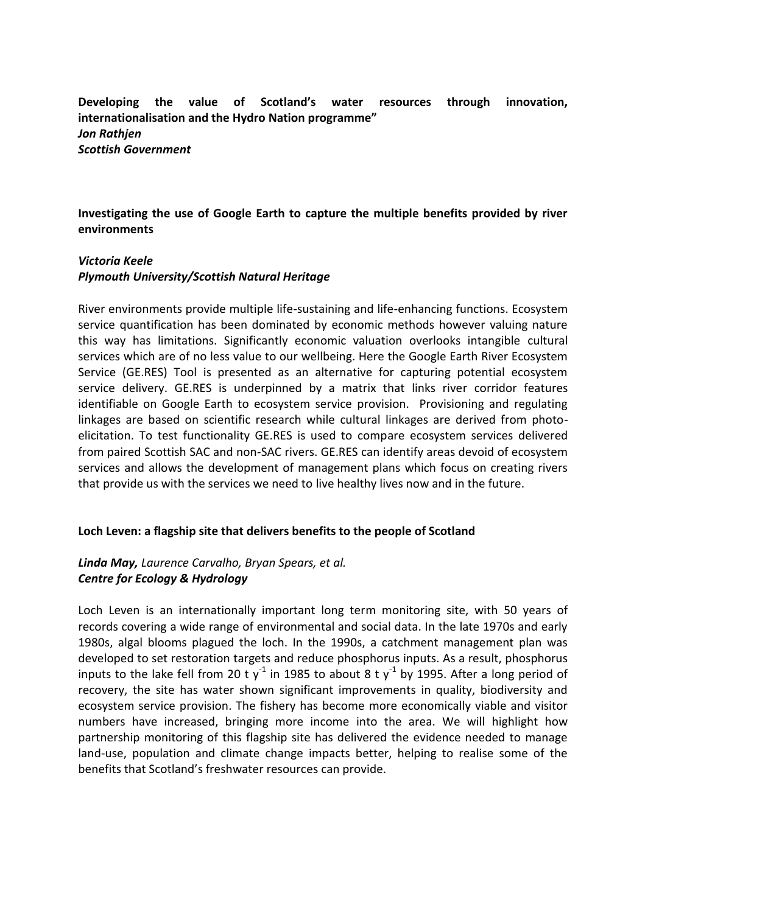**Developing the value of Scotland's water resources through innovation, internationalisation and the Hydro Nation programme"** *Jon Rathjen Scottish Government* 

**Investigating the use of Google Earth to capture the multiple benefits provided by river environments**

#### *Victoria Keele*

#### *Plymouth University/Scottish Natural Heritage*

River environments provide multiple life-sustaining and life-enhancing functions. Ecosystem service quantification has been dominated by economic methods however valuing nature this way has limitations. Significantly economic valuation overlooks intangible cultural services which are of no less value to our wellbeing. Here the Google Earth River Ecosystem Service (GE.RES) Tool is presented as an alternative for capturing potential ecosystem service delivery. GE.RES is underpinned by a matrix that links river corridor features identifiable on Google Earth to ecosystem service provision. Provisioning and regulating linkages are based on scientific research while cultural linkages are derived from photoelicitation. To test functionality GE.RES is used to compare ecosystem services delivered from paired Scottish SAC and non-SAC rivers. GE.RES can identify areas devoid of ecosystem services and allows the development of management plans which focus on creating rivers that provide us with the services we need to live healthy lives now and in the future.

#### **Loch Leven: a flagship site that delivers benefits to the people of Scotland**

## *Linda May, Laurence Carvalho, Bryan Spears, et al. Centre for Ecology & Hydrology*

Loch Leven is an internationally important long term monitoring site, with 50 years of records covering a wide range of environmental and social data. In the late 1970s and early 1980s, algal blooms plagued the loch. In the 1990s, a catchment management plan was developed to set restoration targets and reduce phosphorus inputs. As a result, phosphorus inputs to the lake fell from 20 t y<sup>-1</sup> in 1985 to about 8 t y<sup>-1</sup> by 1995. After a long period of recovery, the site has water shown significant improvements in quality, biodiversity and ecosystem service provision. The fishery has become more economically viable and visitor numbers have increased, bringing more income into the area. We will highlight how partnership monitoring of this flagship site has delivered the evidence needed to manage land-use, population and climate change impacts better, helping to realise some of the benefits that Scotland's freshwater resources can provide.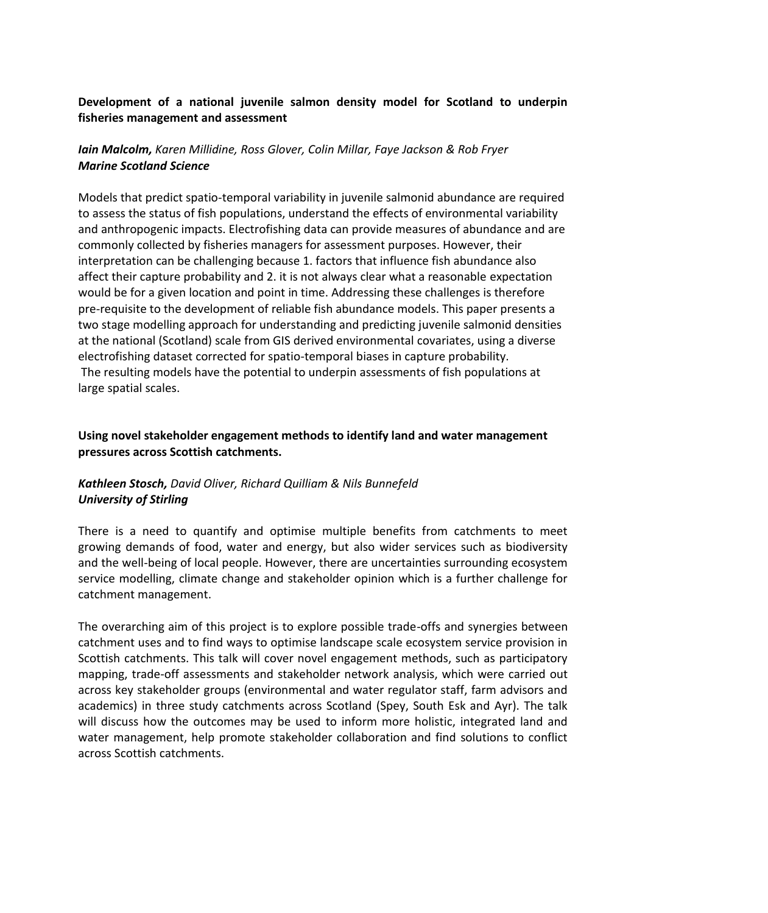## **Development of a national juvenile salmon density model for Scotland to underpin fisheries management and assessment**

## *Iain Malcolm, Karen Millidine, Ross Glover, Colin Millar, Faye Jackson & Rob Fryer Marine Scotland Science*

Models that predict spatio-temporal variability in juvenile salmonid abundance are required to assess the status of fish populations, understand the effects of environmental variability and anthropogenic impacts. Electrofishing data can provide measures of abundance and are commonly collected by fisheries managers for assessment purposes. However, their interpretation can be challenging because 1. factors that influence fish abundance also affect their capture probability and 2. it is not always clear what a reasonable expectation would be for a given location and point in time. Addressing these challenges is therefore pre-requisite to the development of reliable fish abundance models. This paper presents a two stage modelling approach for understanding and predicting juvenile salmonid densities at the national (Scotland) scale from GIS derived environmental covariates, using a diverse electrofishing dataset corrected for spatio-temporal biases in capture probability. The resulting models have the potential to underpin assessments of fish populations at large spatial scales.

## **Using novel stakeholder engagement methods to identify land and water management pressures across Scottish catchments.**

## *Kathleen Stosch, David Oliver, Richard Quilliam & Nils Bunnefeld University of Stirling*

There is a need to quantify and optimise multiple benefits from catchments to meet growing demands of food, water and energy, but also wider services such as biodiversity and the well-being of local people. However, there are uncertainties surrounding ecosystem service modelling, climate change and stakeholder opinion which is a further challenge for catchment management.

The overarching aim of this project is to explore possible trade-offs and synergies between catchment uses and to find ways to optimise landscape scale ecosystem service provision in Scottish catchments. This talk will cover novel engagement methods, such as participatory mapping, trade-off assessments and stakeholder network analysis, which were carried out across key stakeholder groups (environmental and water regulator staff, farm advisors and academics) in three study catchments across Scotland (Spey, South Esk and Ayr). The talk will discuss how the outcomes may be used to inform more holistic, integrated land and water management, help promote stakeholder collaboration and find solutions to conflict across Scottish catchments.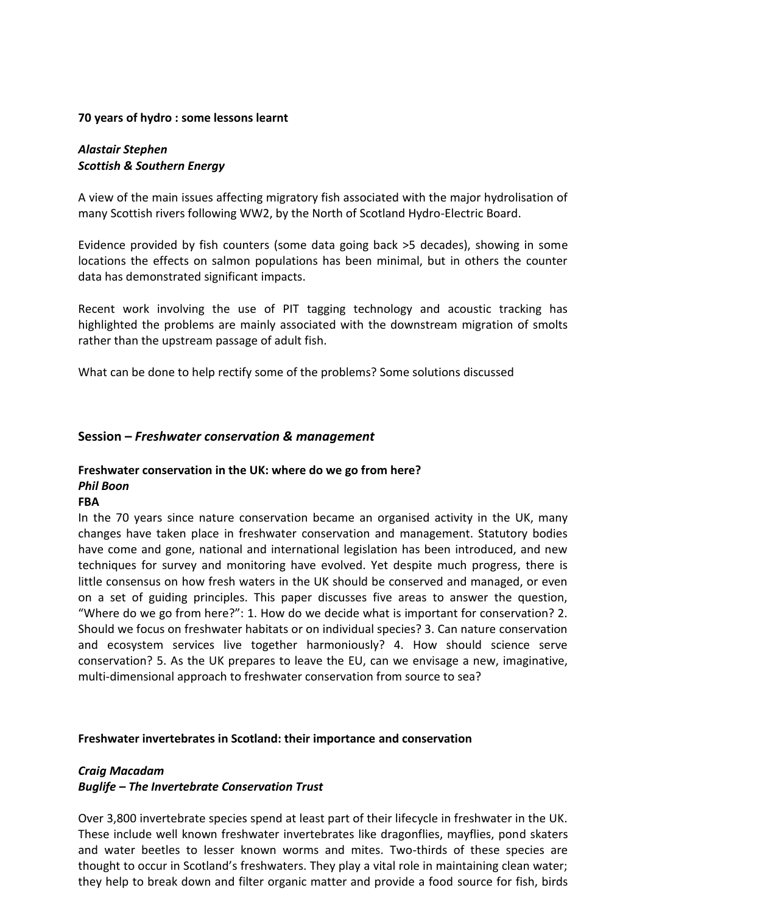### **70 years of hydro : some lessons learnt**

## *Alastair Stephen Scottish & Southern Energy*

A view of the main issues affecting migratory fish associated with the major hydrolisation of many Scottish rivers following WW2, by the North of Scotland Hydro-Electric Board.

Evidence provided by fish counters (some data going back >5 decades), showing in some locations the effects on salmon populations has been minimal, but in others the counter data has demonstrated significant impacts.

Recent work involving the use of PIT tagging technology and acoustic tracking has highlighted the problems are mainly associated with the downstream migration of smolts rather than the upstream passage of adult fish.

What can be done to help rectify some of the problems? Some solutions discussed

### **Session –** *Freshwater conservation & management*

#### **Freshwater conservation in the UK: where do we go from here?** *Phil Boon*

# **FBA**

In the 70 years since nature conservation became an organised activity in the UK, many changes have taken place in freshwater conservation and management. Statutory bodies have come and gone, national and international legislation has been introduced, and new techniques for survey and monitoring have evolved. Yet despite much progress, there is little consensus on how fresh waters in the UK should be conserved and managed, or even on a set of guiding principles. This paper discusses five areas to answer the question, "Where do we go from here?": 1. How do we decide what is important for conservation? 2. Should we focus on freshwater habitats or on individual species? 3. Can nature conservation and ecosystem services live together harmoniously? 4. How should science serve conservation? 5. As the UK prepares to leave the EU, can we envisage a new, imaginative, multi-dimensional approach to freshwater conservation from source to sea?

#### **Freshwater invertebrates in Scotland: their importance and conservation**

## *Craig Macadam*

## *Buglife – The Invertebrate Conservation Trust*

Over 3,800 invertebrate species spend at least part of their lifecycle in freshwater in the UK. These include well known freshwater invertebrates like dragonflies, mayflies, pond skaters and water beetles to lesser known worms and mites. Two-thirds of these species are thought to occur in Scotland's freshwaters. They play a vital role in maintaining clean water; they help to break down and filter organic matter and provide a food source for fish, birds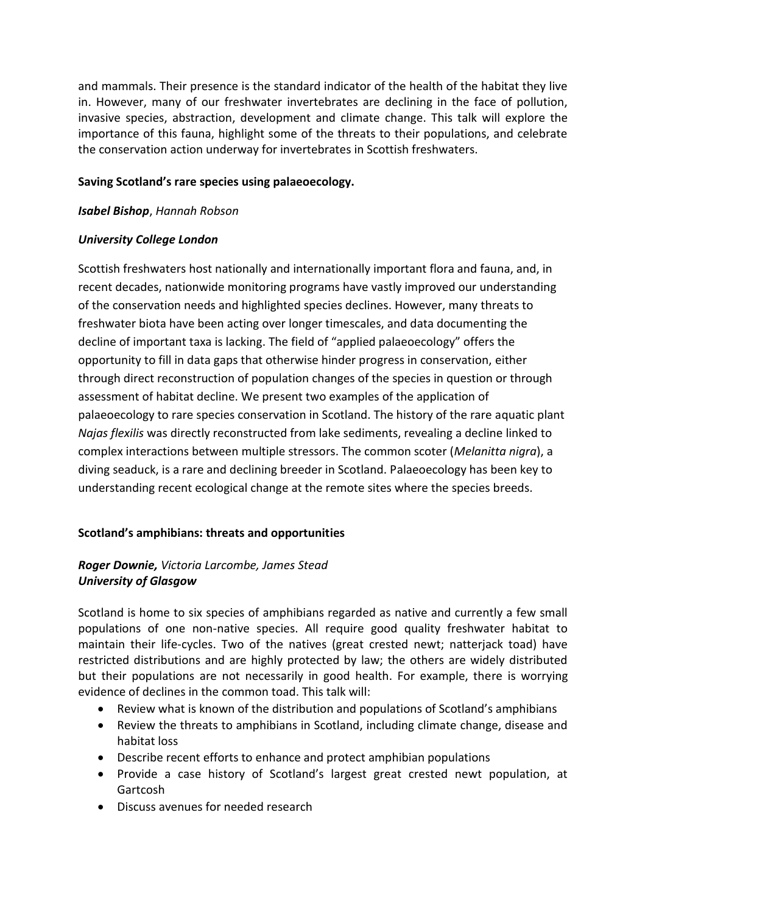and mammals. Their presence is the standard indicator of the health of the habitat they live in. However, many of our freshwater invertebrates are declining in the face of pollution, invasive species, abstraction, development and climate change. This talk will explore the importance of this fauna, highlight some of the threats to their populations, and celebrate the conservation action underway for invertebrates in Scottish freshwaters.

## **Saving Scotland's rare species using palaeoecology.**

### *Isabel Bishop*, *Hannah Robson*

## *University College London*

Scottish freshwaters host nationally and internationally important flora and fauna, and, in recent decades, nationwide monitoring programs have vastly improved our understanding of the conservation needs and highlighted species declines. However, many threats to freshwater biota have been acting over longer timescales, and data documenting the decline of important taxa is lacking. The field of "applied palaeoecology" offers the opportunity to fill in data gaps that otherwise hinder progress in conservation, either through direct reconstruction of population changes of the species in question or through assessment of habitat decline. We present two examples of the application of palaeoecology to rare species conservation in Scotland. The history of the rare aquatic plant *Najas flexilis* was directly reconstructed from lake sediments, revealing a decline linked to complex interactions between multiple stressors. The common scoter (*Melanitta nigra*), a diving seaduck, is a rare and declining breeder in Scotland. Palaeoecology has been key to understanding recent ecological change at the remote sites where the species breeds.

## **Scotland's amphibians: threats and opportunities**

# *Roger Downie, Victoria Larcombe, James Stead University of Glasgow*

Scotland is home to six species of amphibians regarded as native and currently a few small populations of one non-native species. All require good quality freshwater habitat to maintain their life-cycles. Two of the natives (great crested newt; natterjack toad) have restricted distributions and are highly protected by law; the others are widely distributed but their populations are not necessarily in good health. For example, there is worrying evidence of declines in the common toad. This talk will:

- Review what is known of the distribution and populations of Scotland's amphibians
- Review the threats to amphibians in Scotland, including climate change, disease and habitat loss
- Describe recent efforts to enhance and protect amphibian populations
- Provide a case history of Scotland's largest great crested newt population, at Gartcosh
- Discuss avenues for needed research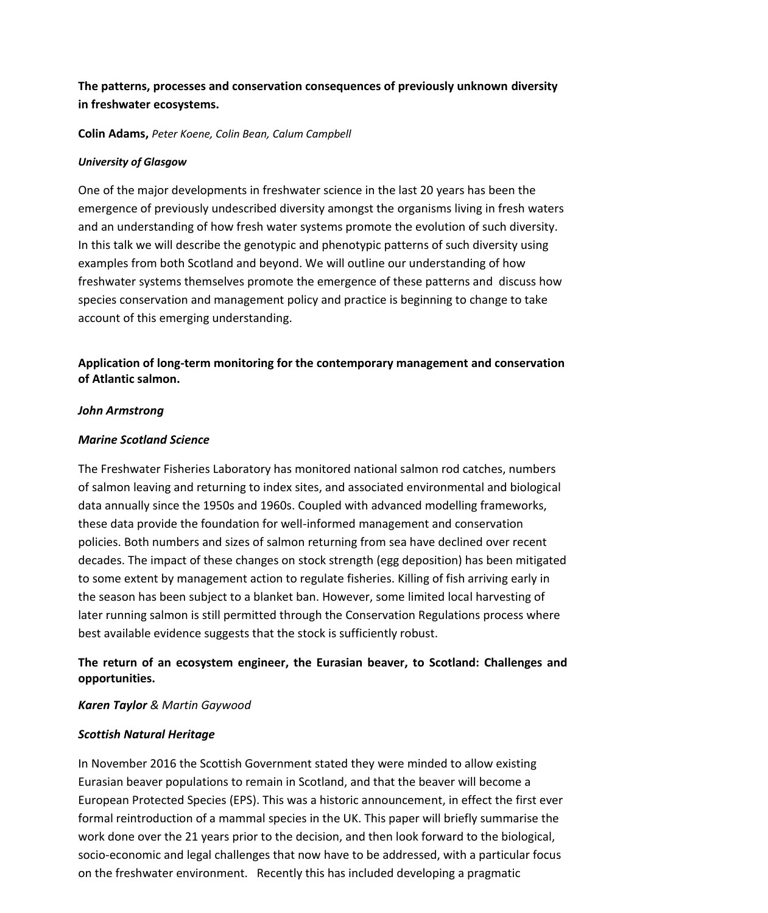# **The patterns, processes and conservation consequences of previously unknown diversity in freshwater ecosystems.**

**Colin Adams,** *Peter Koene, Colin Bean, Calum Campbell*

## *University of Glasgow*

One of the major developments in freshwater science in the last 20 years has been the emergence of previously undescribed diversity amongst the organisms living in fresh waters and an understanding of how fresh water systems promote the evolution of such diversity. In this talk we will describe the genotypic and phenotypic patterns of such diversity using examples from both Scotland and beyond. We will outline our understanding of how freshwater systems themselves promote the emergence of these patterns and discuss how species conservation and management policy and practice is beginning to change to take account of this emerging understanding.

**Application of long-term monitoring for the contemporary management and conservation of Atlantic salmon.**

### *John Armstrong*

### *Marine Scotland Science*

The Freshwater Fisheries Laboratory has monitored national salmon rod catches, numbers of salmon leaving and returning to index sites, and associated environmental and biological data annually since the 1950s and 1960s. Coupled with advanced modelling frameworks, these data provide the foundation for well-informed management and conservation policies. Both numbers and sizes of salmon returning from sea have declined over recent decades. The impact of these changes on stock strength (egg deposition) has been mitigated to some extent by management action to regulate fisheries. Killing of fish arriving early in the season has been subject to a blanket ban. However, some limited local harvesting of later running salmon is still permitted through the Conservation Regulations process where best available evidence suggests that the stock is sufficiently robust.

# **The return of an ecosystem engineer, the Eurasian beaver, to Scotland: Challenges and opportunities.**

## *Karen Taylor & Martin Gaywood*

## *Scottish Natural Heritage*

In November 2016 the Scottish Government stated they were minded to allow existing Eurasian beaver populations to remain in Scotland, and that the beaver will become a European Protected Species (EPS). This was a historic announcement, in effect the first ever formal reintroduction of a mammal species in the UK. This paper will briefly summarise the work done over the 21 years prior to the decision, and then look forward to the biological, socio-economic and legal challenges that now have to be addressed, with a particular focus on the freshwater environment. Recently this has included developing a pragmatic